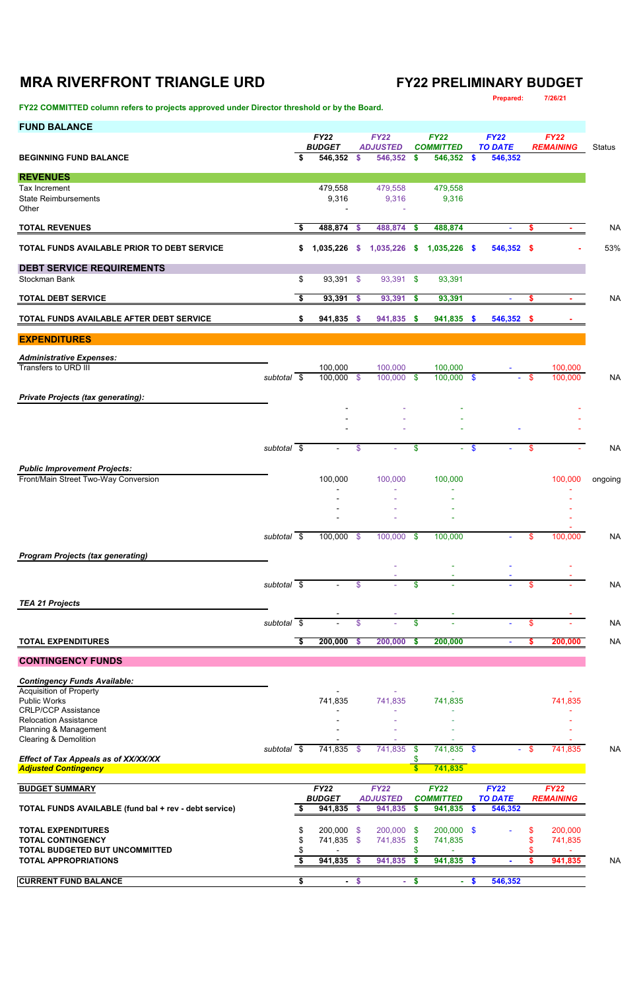# **MRA RIVERFRONT TRIANGLE URD FY22 PRELIMINARY BUDGET**

| FY22 COMMITTED column refers to projects approved under Director threshold or by the Board. |                          |    |                              |               |                                |               |                                 |        | Prepared:                     |        | 7/26/21                         |               |
|---------------------------------------------------------------------------------------------|--------------------------|----|------------------------------|---------------|--------------------------------|---------------|---------------------------------|--------|-------------------------------|--------|---------------------------------|---------------|
| <b>FUND BALANCE</b>                                                                         |                          |    | <b>FY22</b><br><b>BUDGET</b> |               | <b>FY22</b><br><b>ADJUSTED</b> |               | <b>FY22</b><br><b>COMMITTED</b> |        | <b>FY22</b><br><b>TO DATE</b> |        | <b>FY22</b><br><b>REMAINING</b> | <b>Status</b> |
| <b>BEGINNING FUND BALANCE</b>                                                               |                          | Ŝ. | 546,352                      | S.            | 546,352 \$                     |               | 546,352 \$                      |        | 546,352                       |        |                                 |               |
| <b>REVENUES</b><br>Tax Increment<br><b>State Reimbursements</b><br>Other                    |                          |    | 479,558<br>9,316             |               | 479,558<br>9,316               |               | 479,558<br>9,316                |        |                               |        |                                 |               |
| <b>TOTAL REVENUES</b>                                                                       |                          | S. | 488,874 \$                   |               | 488,874 \$                     |               | 488,874                         |        | $\sim$                        | \$     | $\sim$                          | <b>NA</b>     |
| TOTAL FUNDS AVAILABLE PRIOR TO DEBT SERVICE                                                 |                          | \$ | 1,035,226                    | S.            | 1,035,226                      | -S            | $1,035,226$ \$                  |        | 546,352 \$                    |        |                                 | 53%           |
| <b>DEBT SERVICE REQUIREMENTS</b>                                                            |                          |    |                              |               |                                |               |                                 |        |                               |        |                                 |               |
| Stockman Bank                                                                               |                          | \$ | 93,391                       | $\frac{1}{2}$ | 93,391 \$                      |               | 93,391                          |        |                               |        |                                 |               |
| <b>TOTAL DEBT SERVICE</b>                                                                   |                          | \$ | 93,391                       | $\frac{1}{2}$ | 93,391                         | $\sqrt[6]{3}$ | 93,391                          |        | ÷                             | \$     | $\sim$                          | <b>NA</b>     |
| TOTAL FUNDS AVAILABLE AFTER DEBT SERVICE                                                    |                          | \$ | 941,835 \$                   |               | 941,835 \$                     |               | 941,835 \$                      |        | 546,352 \$                    |        |                                 |               |
| <b>EXPENDITURES</b>                                                                         |                          |    |                              |               |                                |               |                                 |        |                               |        |                                 |               |
| <b>Administrative Expenses:</b><br>Transfers to URD III                                     | subtotal $\overline{\$}$ |    | 100,000<br>$100,000$ \$      |               | 100,000<br>$100,000$ \$        |               | 100,000<br>$100,000$ \$         |        | $\sim$                        | $-$ \$ | 100,000<br>100,000              | <b>NA</b>     |
| <b>Private Projects (tax generating):</b>                                                   |                          |    |                              |               |                                |               |                                 |        |                               |        |                                 |               |
|                                                                                             |                          |    |                              |               |                                |               |                                 |        |                               |        |                                 |               |
|                                                                                             |                          |    |                              |               |                                |               |                                 |        |                               |        |                                 |               |
|                                                                                             | subtotal \$              |    |                              | \$            |                                | \$            |                                 | $-$ \$ |                               | \$     |                                 | <b>NA</b>     |
| <b>Public Improvement Projects:</b>                                                         |                          |    |                              |               |                                |               |                                 |        |                               |        |                                 |               |
| Front/Main Street Two-Way Conversion                                                        |                          |    | 100,000                      |               | 100,000                        |               | 100,000                         |        |                               |        | 100,000                         | ongoing       |
|                                                                                             |                          |    |                              |               |                                |               |                                 |        |                               |        |                                 |               |
|                                                                                             |                          |    |                              |               |                                |               |                                 |        |                               |        |                                 |               |
|                                                                                             | subtotal \$              |    | 100,000                      | $\sqrt[6]{3}$ | 100,000                        | $\sqrt{3}$    | 100,000                         |        | ٠                             | \$     | 100,000                         | <b>NA</b>     |
| <b>Program Projects (tax generating)</b>                                                    |                          |    |                              |               |                                |               |                                 |        |                               |        |                                 |               |
|                                                                                             |                          |    |                              |               |                                |               |                                 |        |                               |        |                                 |               |
|                                                                                             | subtotal $\sqrt{s}$      |    |                              | \$            |                                | \$            |                                 |        |                               | \$     |                                 | <b>NA</b>     |
| <b>TEA 21 Projects</b>                                                                      |                          |    |                              |               |                                |               |                                 |        |                               |        |                                 |               |
|                                                                                             | subtotal $\sqrt{s}$      |    |                              | \$            |                                | \$            |                                 |        |                               | \$     |                                 | <b>NA</b>     |
| <b>TOTAL EXPENDITURES</b>                                                                   |                          | \$ | 200,000                      | \$            | 200,000                        | $\frac{2}{3}$ | 200,000                         |        | $\sim$                        | s      | 200,000                         | <b>NA</b>     |
| <b>CONTINGENCY FUNDS</b>                                                                    |                          |    |                              |               |                                |               |                                 |        |                               |        |                                 |               |
| <b>Contingency Funds Available:</b><br><b>Acquisition of Property</b><br>Public Works       |                          |    | 741,835                      |               | 741,835                        |               | 741,835                         |        |                               |        | 741,835                         |               |
| <b>CRLP/CCP Assistance</b>                                                                  |                          |    |                              |               |                                |               |                                 |        |                               |        |                                 |               |

| <b>Relocation Assistance</b>                                 |          |      |                |      |                 |      |                  |                 |     |                  |           |
|--------------------------------------------------------------|----------|------|----------------|------|-----------------|------|------------------|-----------------|-----|------------------|-----------|
| Planning & Management                                        |          |      |                |      | ۰               |      | ۰                |                 |     |                  |           |
| <b>Clearing &amp; Demolition</b>                             |          |      |                |      | ۰               |      | ۰                |                 |     |                  |           |
|                                                              | subtotal | - \$ | 741,835        | - \$ | 741,835         | - \$ | 741,835 \$       | $\sim$ 10 $\pm$ | -SS | 741,835          | <b>NA</b> |
| <b>Effect of Tax Appeals as of XX/XX/XX</b>                  |          |      |                |      |                 |      |                  |                 |     |                  |           |
| <b>Adjusted Contingency</b>                                  |          |      |                |      |                 |      | 741,835          |                 |     |                  |           |
|                                                              |          |      |                |      |                 |      |                  |                 |     |                  |           |
| <b>BUDGET SUMMARY</b>                                        |          |      | <b>FY22</b>    |      | <b>FY22</b>     |      | <b>FY22</b>      | <b>FY22</b>     |     | <b>FY22</b>      |           |
|                                                              |          |      | <b>BUDGET</b>  |      | <b>ADJUSTED</b> |      | <b>COMMITTED</b> | <b>TO DATE</b>  |     | <b>REMAINING</b> |           |
| <b>TOTAL FUNDS AVAILABLE (fund bal + rev - debt service)</b> |          |      | 941,835        |      | 941,835         |      | 941,835          | 546,352         |     |                  |           |
| <b>TOTAL EXPENDITURES</b>                                    |          | \$.  | 200,000 \$     |      | 200,000 \$      |      | $200,000$ \$     | $\sim$          |     | 200,000          |           |
| <b>TOTAL CONTINGENCY</b>                                     |          |      | 741,835 \$     |      | 741,835         | - \$ | 741,835          |                 |     | 741,835          |           |
| TOTAL BUDGETED BUT UNCOMMITTED                               |          |      |                |      |                 |      | $\sim$           |                 |     |                  |           |
| <b>TOTAL APPROPRIATIONS</b>                                  |          |      | 941,835        |      | 941,835         |      | 941,835          |                 |     | 941,835          | <b>NA</b> |
| <b>CURRENT FUND BALANCE</b>                                  |          |      | $\blacksquare$ |      | $\sim$          |      | н.               | 546,352         |     |                  |           |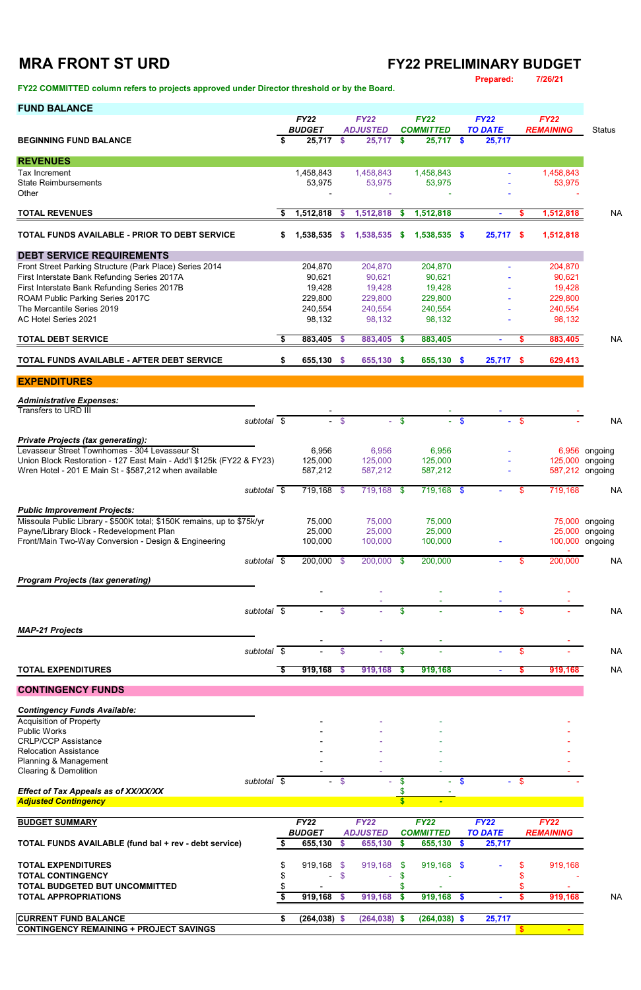### **MRA FRONT ST URD FY22 PRELIMINARY BUDGET Prepared: 7/26/21**

### **FY22 COMMITTED column refers to projects approved under Director threshold or by the Board.**

|  |  | <b>FUND BALANCE</b> |  |  |  |
|--|--|---------------------|--|--|--|
|  |  |                     |  |  |  |

| <b>FUND BALANCE</b>                                                                                     |    | <b>FY22</b>       |              | <b>FY22</b>       |                | <b>FY22</b>       |               | <b>FY22</b>    |     | <b>FY22</b>       |               |
|---------------------------------------------------------------------------------------------------------|----|-------------------|--------------|-------------------|----------------|-------------------|---------------|----------------|-----|-------------------|---------------|
|                                                                                                         |    | <b>BUDGET</b>     |              | <b>ADJUSTED</b>   |                | <b>COMMITTED</b>  |               | <b>TO DATE</b> |     | <b>REMAINING</b>  | <b>Status</b> |
| <b>BEGINNING FUND BALANCE</b>                                                                           | \$ | 25,717            | $\mathbf{s}$ | $25,717$ \$       |                | $25,717$ \$       |               | 25,717         |     |                   |               |
| <b>REVENUES</b>                                                                                         |    |                   |              |                   |                |                   |               |                |     |                   |               |
| Tax Increment                                                                                           |    | 1,458,843         |              | 1,458,843         |                | 1,458,843         |               |                |     | 1,458,843         |               |
| <b>State Reimbursements</b><br>Other                                                                    |    | 53,975            |              | 53,975            |                | 53,975            |               |                |     | 53,975            |               |
| <b>TOTAL REVENUES</b>                                                                                   | -S | 1,512,818         | - \$         | $1,512,818$ \$    |                | 1,512,818         |               | $\blacksquare$ | S.  | 1,512,818         | <b>NA</b>     |
| TOTAL FUNDS AVAILABLE - PRIOR TO DEBT SERVICE                                                           | S. | 1,538,535         | $\mathbf{S}$ | 1,538,535         | $\mathbf s$    | 1,538,535 \$      |               | $25,717$ \$    |     | 1,512,818         |               |
|                                                                                                         |    |                   |              |                   |                |                   |               |                |     |                   |               |
| <b>DEBT SERVICE REQUIREMENTS</b>                                                                        |    |                   |              |                   |                |                   |               |                |     |                   |               |
| Front Street Parking Structure (Park Place) Series 2014<br>First Interstate Bank Refunding Series 2017A |    | 204,870<br>90,621 |              | 204,870<br>90,621 |                | 204,870<br>90,621 |               |                |     | 204,870<br>90,621 |               |
| First Interstate Bank Refunding Series 2017B                                                            |    | 19,428            |              | 19,428            |                | 19,428            |               |                |     | 19,428            |               |
| ROAM Public Parking Series 2017C                                                                        |    | 229,800           |              | 229,800           |                | 229,800           |               |                |     | 229,800           |               |
| The Mercantile Series 2019                                                                              |    | 240,554           |              | 240,554           |                | 240,554           |               |                |     | 240,554           |               |
| AC Hotel Series 2021                                                                                    |    | 98,132            |              | 98,132            |                | 98,132            |               |                |     | 98,132            |               |
| <b>TOTAL DEBT SERVICE</b>                                                                               | S. | 883,405 \$        |              | 883,405 \$        |                | 883,405           |               | $\blacksquare$ | \$  | 883,405           | <b>NA</b>     |
| TOTAL FUNDS AVAILABLE - AFTER DEBT SERVICE                                                              | \$ | 655,130 \$        |              | 655,130 \$        |                | 655,130           | $\frac{1}{2}$ | 25,717         | \$  | 629,413           |               |
| <b>EXPENDITURES</b>                                                                                     |    |                   |              |                   |                |                   |               |                |     |                   |               |
|                                                                                                         |    |                   |              |                   |                |                   |               |                |     |                   |               |
| <b>Administrative Expenses:</b><br><b>Transfers to URD III</b>                                          |    |                   |              |                   |                |                   |               |                |     |                   |               |
| subtotal $\overline{\$}$                                                                                |    |                   | $-$ \$       |                   | $-$ \$         |                   | $-$ \$        |                | \$  |                   | <b>NA</b>     |
| <b>Private Projects (tax generating):</b>                                                               |    |                   |              |                   |                |                   |               |                |     |                   |               |
| Levasseur Street Townhomes - 304 Levasseur St                                                           |    | 6,956             |              | 6,956             |                | 6,956             |               |                |     |                   | 6,956 ongoing |
| Union Block Restoration - 127 East Main - Add'l \$125k (FY22 & FY23)                                    |    | 125,000           |              | 125,000           |                | 125,000           |               |                |     | 125,000 ongoing   |               |
| Wren Hotel - 201 E Main St - \$587,212 when available                                                   |    | 587,212           |              | 587,212           |                | 587,212           |               |                |     | 587,212 ongoing   |               |
| subtotal $\overline{\$}$                                                                                |    | $719,168$ \$      |              | 719,168 \$        |                | $719,168$ \$      |               |                | \$  | 719,168           | <b>NA</b>     |
| <b>Public Improvement Projects:</b>                                                                     |    |                   |              |                   |                |                   |               |                |     |                   |               |
| Missoula Public Library - \$500K total; \$150K remains, up to \$75k/yr                                  |    | 75,000            |              | 75,000            |                | 75,000            |               |                |     | 75,000            | ongoing       |
| Payne/Library Block - Redevelopment Plan                                                                |    | 25,000            |              | 25,000            |                | 25,000            |               |                |     | 25,000            | ongoing       |
| Front/Main Two-Way Conversion - Design & Engineering                                                    |    | 100,000           |              | 100,000           |                | 100,000           |               |                |     | 100,000           | ongoing       |
| subtotal $\sqrt{s}$                                                                                     |    | $200,000$ \$      |              | $200,000$ \$      |                | 200,000           |               |                | \$  | 200,000           | <b>NA</b>     |
| <b>Program Projects (tax generating)</b>                                                                |    |                   |              |                   |                |                   |               |                |     |                   |               |
|                                                                                                         |    |                   |              |                   |                |                   |               |                |     |                   |               |
| subtotal $\sqrt{s}$                                                                                     |    |                   | \$           |                   | \$             |                   |               |                | \$  |                   | <b>NA</b>     |
| <b>MAP-21 Projects</b>                                                                                  |    |                   |              |                   |                |                   |               |                |     |                   |               |
| subtotal \$                                                                                             |    |                   | \$           |                   | $\mathfrak{F}$ |                   |               |                | \$  |                   | <b>NA</b>     |
|                                                                                                         |    |                   |              |                   |                |                   |               |                |     |                   |               |
| <b>TOTAL EXPENDITURES</b>                                                                               | \$ | $919,168$ \$      |              | $919,168$ \$      |                | 919,168           |               |                | \$. | 919,168           | <b>NA</b>     |
| <b>CONTINGENCY FUNDS</b>                                                                                |    |                   |              |                   |                |                   |               |                |     |                   |               |

*Contingency Funds Available:*

Acquisition of Property - - - -

| <b>Public Works</b><br><b>CRLP/CCP Assistance</b><br><b>Relocation Assistance</b><br>Planning & Management |             |                 |    | $\overline{\phantom{a}}$ | ۰                |                |    |                  |           |
|------------------------------------------------------------------------------------------------------------|-------------|-----------------|----|--------------------------|------------------|----------------|----|------------------|-----------|
| <b>Clearing &amp; Demolition</b>                                                                           |             |                 |    |                          |                  |                |    |                  |           |
|                                                                                                            | subtotal \$ | $\sim$          | \$ |                          |                  | a.             | \$ |                  |           |
| <b>Effect of Tax Appeals as of XX/XX/XX</b>                                                                |             |                 |    |                          |                  |                |    |                  |           |
| <b>Adjusted Contingency</b>                                                                                |             |                 |    |                          | $\blacksquare$   |                |    |                  |           |
|                                                                                                            |             |                 |    |                          |                  |                |    |                  |           |
| <b>BUDGET SUMMARY</b>                                                                                      |             | <b>FY22</b>     |    | <b>FY22</b>              | <b>FY22</b>      | <b>FY22</b>    |    | <b>FY22</b>      |           |
|                                                                                                            |             | <b>BUDGET</b>   |    | <b>ADJUSTED</b>          | <b>COMMITTED</b> | <b>TO DATE</b> |    | <b>REMAINING</b> |           |
| <b>TOTAL FUNDS AVAILABLE (fund bal + rev - debt service)</b>                                               |             | 655,130         |    | 655,130                  | 655,130          | 25,717         |    |                  |           |
| <b>TOTAL EXPENDITURES</b>                                                                                  | S           | $919,168$ \$    |    | 919,168 \$               | 919,168 \$       |                | S  | 919,168          |           |
| <b>TOTAL CONTINGENCY</b>                                                                                   |             |                 | S  |                          |                  |                |    |                  |           |
| TOTAL BUDGETED BUT UNCOMMITTED                                                                             |             |                 |    |                          |                  |                |    |                  |           |
| <b>TOTAL APPROPRIATIONS</b>                                                                                |             | 919,168         |    | 919,168                  | 919,168          |                |    | 919,168          | <b>NA</b> |
| <b>CURRENT FUND BALANCE</b>                                                                                |             | $(264, 038)$ \$ |    | $(264, 038)$ \$          | $(264, 038)$ \$  | 25,717         |    |                  |           |
| <b>CONTINGENCY REMAINING + PROJECT SAVINGS</b>                                                             |             |                 |    |                          |                  |                |    |                  |           |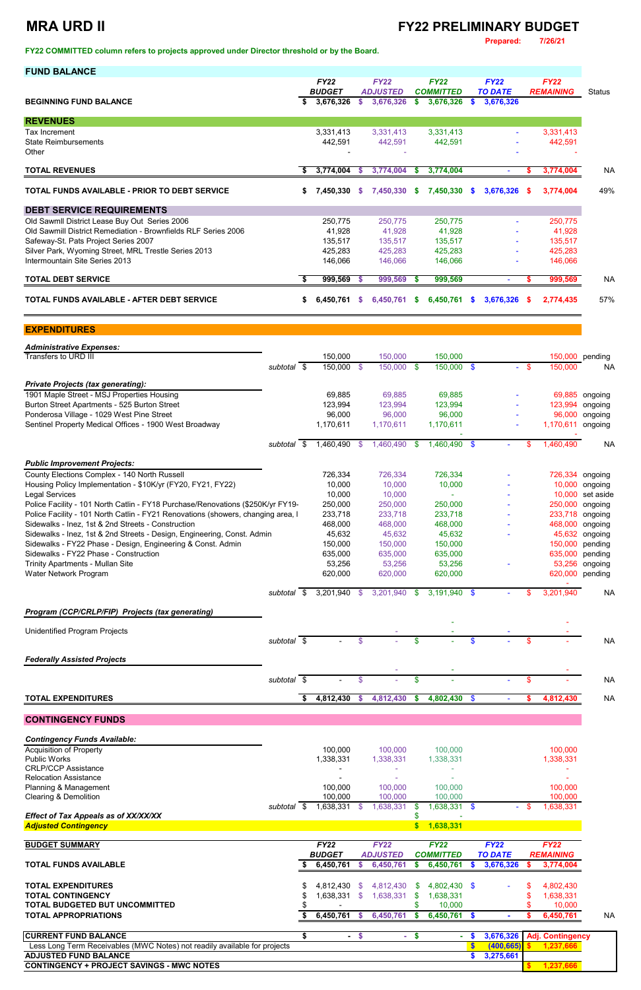### **MRA URD II FY22 PRELIMINARY BUDGET**

**Prepared: 7/26/21**

**FY22 COMMITTED column refers to projects approved under Director threshold or by the Board.** 

| <b>FUND BALANCE</b>                                                                                                                    |             |      |                            |                           |                              |               |                               |          |                             |              |                    |                    |
|----------------------------------------------------------------------------------------------------------------------------------------|-------------|------|----------------------------|---------------------------|------------------------------|---------------|-------------------------------|----------|-----------------------------|--------------|--------------------|--------------------|
|                                                                                                                                        |             |      | <b>FY22</b>                |                           | <b>FY22</b>                  |               | <b>FY22</b>                   |          | <b>FY22</b>                 |              | <b>FY22</b>        |                    |
| <b>BEGINNING FUND BALANCE</b>                                                                                                          |             | S    | <b>BUDGET</b><br>3,676,326 | S.                        | <b>ADJUSTED</b><br>3,676,326 | $\mathbf{s}$  | <b>COMMITTED</b><br>3,676,326 | S.       | <b>TO DATE</b><br>3,676,326 |              | <b>REMAINING</b>   | <b>Status</b>      |
|                                                                                                                                        |             |      |                            |                           |                              |               |                               |          |                             |              |                    |                    |
| <b>REVENUES</b>                                                                                                                        |             |      |                            |                           |                              |               |                               |          |                             |              |                    |                    |
| Tax Increment                                                                                                                          |             |      | 3,331,413                  |                           | 3,331,413                    |               | 3,331,413                     |          |                             |              | 3,331,413          |                    |
| <b>State Reimbursements</b><br>Other                                                                                                   |             |      | 442,591                    |                           | 442,591                      |               | 442,591                       |          |                             |              | 442,591            |                    |
|                                                                                                                                        |             |      |                            |                           |                              |               |                               |          |                             |              |                    |                    |
| <b>TOTAL REVENUES</b>                                                                                                                  |             | S.   | 3,774,004                  | - \$                      | 3,774,004                    | $\sqrt[6]{3}$ | 3,774,004                     |          |                             | S            | 3,774,004          | <b>NA</b>          |
| TOTAL FUNDS AVAILABLE - PRIOR TO DEBT SERVICE                                                                                          |             | \$   | 7,450,330                  | $\mathcal{S}$             | 7,450,330 \$                 |               | 7,450,330 \$                  |          | 3,676,326                   | $\mathbf{s}$ | 3,774,004          | 49%                |
| <b>DEBT SERVICE REQUIREMENTS</b>                                                                                                       |             |      |                            |                           |                              |               |                               |          |                             |              |                    |                    |
| Old Sawmll District Lease Buy Out Series 2006                                                                                          |             |      | 250,775                    |                           | 250,775                      |               | 250,775                       |          |                             |              | 250,775            |                    |
| Old Sawmill District Remediation - Brownfields RLF Series 2006                                                                         |             |      | 41,928                     |                           | 41,928                       |               | 41,928                        |          |                             |              | 41,928             |                    |
| Safeway-St. Pats Project Series 2007                                                                                                   |             |      | 135,517                    |                           | 135,517                      |               | 135,517                       |          |                             |              | 135,517            |                    |
| Silver Park, Wyoming Street, MRL Trestle Series 2013<br>Intermountain Site Series 2013                                                 |             |      | 425,283<br>146,066         |                           | 425,283<br>146,066           |               | 425,283<br>146,066            |          |                             |              | 425,283<br>146,066 |                    |
|                                                                                                                                        |             |      |                            |                           |                              |               |                               |          |                             |              |                    |                    |
| <b>TOTAL DEBT SERVICE</b>                                                                                                              |             | S.   | 999,569 \$                 |                           | 999,569 \$                   |               | 999,569                       |          | $\blacksquare$              | s.           | 999,569            | <b>NA</b>          |
| TOTAL FUNDS AVAILABLE - AFTER DEBT SERVICE                                                                                             |             | \$   | 6,450,761                  | s.                        | 6,450,761                    | S.            | 6,450,761                     | <b>S</b> | 3,676,326                   | <b>S</b>     | 2,774,435          | 57%                |
| <b>EXPENDITURES</b>                                                                                                                    |             |      |                            |                           |                              |               |                               |          |                             |              |                    |                    |
| <b>Administrative Expenses:</b>                                                                                                        |             |      |                            |                           |                              |               |                               |          |                             |              |                    |                    |
| <b>Transfers to URD III</b>                                                                                                            |             |      | 150,000                    |                           | 150,000                      |               | 150,000                       |          |                             |              |                    | 150,000 pending    |
|                                                                                                                                        | subtotal \$ |      | 150,000 \$                 |                           | 150,000 \$                   |               | 150,000 \$                    |          |                             | - \$         | 150,000            | NA.                |
| <b>Private Projects (tax generating):</b>                                                                                              |             |      |                            |                           |                              |               |                               |          |                             |              |                    |                    |
| 1901 Maple Street - MSJ Properties Housing                                                                                             |             |      | 69,885                     |                           | 69,885                       |               | 69,885                        |          |                             |              | 69,885             | ongoing            |
| Burton Street Apartments - 525 Burton Street                                                                                           |             |      | 123,994                    |                           | 123,994                      |               | 123,994                       |          |                             |              | 123,994            | ongoing            |
| Ponderosa Village - 1029 West Pine Street                                                                                              |             |      | 96,000                     |                           | 96,000                       |               | 96,000                        |          |                             |              |                    | 96,000 ongoing     |
| Sentinel Property Medical Offices - 1900 West Broadway                                                                                 |             |      | 1,170,611                  |                           | 1,170,611                    |               | 1,170,611                     |          |                             |              | 1,170,611 ongoing  |                    |
|                                                                                                                                        | subtotal \$ |      | 1,460,490 \$               |                           | 1,460,490                    | \$            | 1,460,490 \$                  |          |                             | \$           | 1,460,490          | <b>NA</b>          |
| <b>Public Improvement Projects:</b>                                                                                                    |             |      |                            |                           |                              |               |                               |          |                             |              |                    |                    |
| County Elections Complex - 140 North Russell                                                                                           |             |      | 726,334                    |                           | 726,334                      |               | 726,334                       |          |                             |              |                    | 726,334 ongoing    |
| Housing Policy Implementation - \$10K/yr (FY20, FY21, FY22)                                                                            |             |      | 10,000                     |                           | 10,000                       |               | 10,000                        |          |                             |              | 10,000             | ongoing            |
| <b>Legal Services</b>                                                                                                                  |             |      | 10,000                     |                           | 10,000                       |               |                               |          |                             |              |                    | 10,000 set aside   |
| Police Facility - 101 North Catlin - FY18 Purchase/Renovations (\$250K/yr FY19-                                                        |             |      | 250,000                    |                           | 250,000                      |               | 250,000                       |          |                             |              | 250,000<br>233,718 | ongoing            |
| Police Facility - 101 North Catlin - FY21 Renovations (showers, changing area, I<br>Sidewalks - Inez, 1st & 2nd Streets - Construction |             |      | 233,718<br>468,000         |                           | 233,718<br>468,000           |               | 233,718<br>468,000            |          |                             |              | 468,000            | ongoing<br>ongoing |
| Sidewalks - Inez, 1st & 2nd Streets - Design, Engineering, Const. Admin                                                                |             |      | 45,632                     |                           | 45,632                       |               | 45,632                        |          |                             |              | 45,632             | ongoing            |
| Sidewalks - FY22 Phase - Design, Engineering & Const. Admin                                                                            |             |      | 150,000                    |                           | 150,000                      |               | 150,000                       |          |                             |              | 150,000            | pending            |
| Sidewalks - FY22 Phase - Construction                                                                                                  |             |      | 635,000                    |                           | 635,000                      |               | 635,000                       |          |                             |              | 635,000            | pending            |
| Trinity Apartments - Mullan Site                                                                                                       |             |      | 53,256                     |                           | 53,256                       |               | 53,256                        |          |                             |              | 53,256             | ongoing            |
| Water Network Program                                                                                                                  |             |      | 620,000                    |                           | 620,000                      |               | 620,000                       |          |                             |              | 620,000            | pending            |
|                                                                                                                                        | subtotal \$ |      | 3,201,940                  | \$                        | 3,201,940                    | \$            | $3,191,940$ \$                |          |                             | \$           | 3,201,940          | <b>NA</b>          |
| Program (CCP/CRLP/FIP) Projects (tax generating)                                                                                       |             |      |                            |                           |                              |               |                               |          |                             |              |                    |                    |
|                                                                                                                                        |             |      |                            |                           |                              |               |                               |          |                             |              |                    |                    |
| <b>Unidentified Program Projects</b>                                                                                                   | subtotal \$ |      |                            | \$                        |                              | \$            |                               | \$       |                             | \$           |                    | <b>NA</b>          |
|                                                                                                                                        |             |      |                            |                           |                              |               |                               |          |                             |              |                    |                    |
| <b>Federally Assisted Projects</b>                                                                                                     |             |      |                            |                           |                              |               |                               |          |                             |              |                    |                    |
|                                                                                                                                        | subtotal    | - \$ |                            | \$                        |                              | \$            |                               |          |                             | \$           |                    | <b>NA</b>          |
| <b>TOTAL EXPENDITURES</b>                                                                                                              |             | \$   | 4,812,430                  | $\boldsymbol{\mathsf{s}}$ | 4,812,430                    | \$            | 4,802,430                     | \$       |                             | \$           | 4,812,430          | <b>NA</b>          |
|                                                                                                                                        |             |      |                            |                           |                              |               |                               |          |                             |              |                    |                    |

**CONTINGENCY FUNDS**

| <b>Contingency Funds Available:</b><br><b>Acquisition of Property</b>            |                      |        |                      |                  |                      |               |                |        | 100,000                 |           |
|----------------------------------------------------------------------------------|----------------------|--------|----------------------|------------------|----------------------|---------------|----------------|--------|-------------------------|-----------|
| <b>Public Works</b>                                                              | 100,000<br>1,338,331 |        | 100,000<br>1,338,331 |                  | 100,000<br>1,338,331 |               |                |        | 1,338,331               |           |
| <b>CRLP/CCP Assistance</b>                                                       |                      |        |                      |                  |                      |               |                |        |                         |           |
| <b>Relocation Assistance</b>                                                     |                      |        |                      |                  |                      |               |                |        |                         |           |
| Planning & Management                                                            | 100,000              |        | 100,000              |                  | 100,000              |               |                |        | 100,000                 |           |
| <b>Clearing &amp; Demolition</b>                                                 | 100,000              |        | 100,000              |                  | 100,000              |               |                |        | 100,000                 |           |
| subtotal \$                                                                      | 1,638,331            |        | 1,638,331            |                  | 1,638,331            | $\mathbf{\$}$ |                | $-$ \$ | 1,638,331               |           |
| <b>Effect of Tax Appeals as of XX/XX/XX</b>                                      |                      |        |                      |                  |                      |               |                |        |                         |           |
| <b>Adjusted Contingency</b>                                                      |                      |        |                      | $\boldsymbol{s}$ | 1,638,331            |               |                |        |                         |           |
|                                                                                  |                      |        |                      |                  |                      |               |                |        |                         |           |
| <b>BUDGET SUMMARY</b>                                                            | <b>FY22</b>          |        | <b>FY22</b>          |                  | <b>FY22</b>          |               | <b>FY22</b>    |        | <b>FY22</b>             |           |
|                                                                                  |                      |        |                      |                  |                      |               |                |        |                         |           |
|                                                                                  | <b>BUDGET</b>        |        | <b>ADJUSTED</b>      |                  | <b>COMMITTED</b>     |               | <b>TO DATE</b> |        | <b>REMAINING</b>        |           |
| <b>TOTAL FUNDS AVAILABLE</b>                                                     | 6,450,761            |        | 6,450,761            |                  | 6,450,761            | S.            | 3,676,326      |        | 3,774,004               |           |
|                                                                                  |                      |        |                      |                  |                      |               |                |        |                         |           |
| <b>TOTAL EXPENDITURES</b>                                                        | 4,812,430            | \$.    | 4,812,430            | S.               | 4,802,430 \$         |               | $\sim$         |        | 4,802,430               |           |
| <b>TOTAL CONTINGENCY</b>                                                         | 1,638,331            | \$.    | 1,638,331            |                  | 1,638,331            |               |                |        | 1,638,331               |           |
| TOTAL BUDGETED BUT UNCOMMITTED                                                   |                      |        |                      |                  | 10,000               |               |                |        | 10,000                  |           |
| <b>TOTAL APPROPRIATIONS</b>                                                      | 6,450,761            | S.     | 6,450,761            | S.               | 6,450,761            | <b>S</b>      | $\sim$         |        | 6,450,761               |           |
|                                                                                  |                      |        |                      |                  |                      |               |                |        |                         | <b>NA</b> |
| <b>CURRENT FUND BALANCE</b>                                                      |                      | $-$ \$ | $\sim$               | \$               |                      | S.            | 3,676,326      |        | <b>Adj. Contingency</b> |           |
| Less Long Term Receivables (MWC Notes) not readily available for projects        |                      |        |                      |                  |                      |               | (400, 665)     |        | 1,237,666               |           |
| <b>ADJUSTED FUND BALANCE</b><br><b>CONTINGENCY + PROJECT SAVINGS - MWC NOTES</b> |                      |        |                      |                  |                      | S.            | 3,275,661      |        | 1,237,666               |           |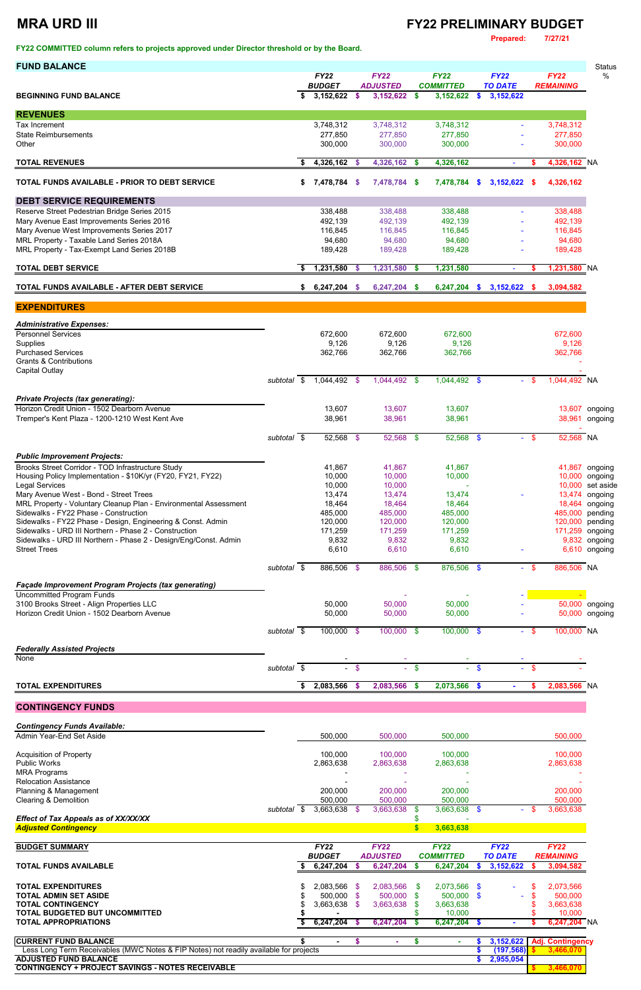### **MRA URD III FY22 PRELIMINARY BUDGET**

**Prepared: 7/27/21**

**FY22 COMMITTED column refers to projects approved under Director threshold or by the Board.** 

| <b>FUND BALANCE</b>                                              |             |    |                                 |               |                              |           |                                  |               |                               |        |                  | <b>Status</b>      |
|------------------------------------------------------------------|-------------|----|---------------------------------|---------------|------------------------------|-----------|----------------------------------|---------------|-------------------------------|--------|------------------|--------------------|
|                                                                  |             |    | <b>FY22</b>                     |               | <b>FY22</b>                  |           | <b>FY22</b>                      |               | <b>FY22</b>                   |        | <b>FY22</b>      | %                  |
| <b>BEGINNING FUND BALANCE</b>                                    |             |    | <b>BUDGET</b><br>$3,152,622$ \$ |               | <b>ADJUSTED</b><br>3,152,622 | S.        | <b>COMMITTED</b><br>3,152,622 \$ |               | <b>TO DATE</b><br>3, 152, 622 |        | <b>REMAINING</b> |                    |
|                                                                  |             |    |                                 |               |                              |           |                                  |               |                               |        |                  |                    |
| <b>REVENUES</b>                                                  |             |    |                                 |               |                              |           |                                  |               |                               |        |                  |                    |
| Tax Increment                                                    |             |    | 3,748,312                       |               | 3,748,312                    |           | 3,748,312                        |               |                               |        | 3,748,312        |                    |
| <b>State Reimbursements</b>                                      |             |    | 277,850                         |               | 277,850                      |           | 277,850                          |               |                               |        | 277,850          |                    |
| Other                                                            |             |    | 300,000                         |               | 300,000                      |           | 300,000                          |               |                               |        | 300,000          |                    |
| <b>TOTAL REVENUES</b>                                            |             | S  | 4,326,162                       | - 5           | 4,326,162                    | S.        | 4,326,162                        |               |                               | S      | 4,326,162 NA     |                    |
| <b>TOTAL FUNDS AVAILABLE - PRIOR TO DEBT SERVICE</b>             |             | \$ | 7,478,784 \$                    |               | 7,478,784 \$                 |           | 7,478,784                        | -S            | $3,152,622$ \$                |        | 4,326,162        |                    |
| <b>DEBT SERVICE REQUIREMENTS</b>                                 |             |    |                                 |               |                              |           |                                  |               |                               |        |                  |                    |
| Reserve Street Pedestrian Bridge Series 2015                     |             |    | 338,488                         |               | 338,488                      |           | 338,488                          |               |                               |        | 338,488          |                    |
| Mary Avenue East Improvements Series 2016                        |             |    | 492,139                         |               | 492,139                      |           | 492,139                          |               |                               |        | 492,139          |                    |
| Mary Avenue West Improvements Series 2017                        |             |    | 116,845                         |               | 116,845                      |           | 116,845                          |               |                               |        | 116,845          |                    |
| MRL Property - Taxable Land Series 2018A                         |             |    | 94,680                          |               | 94,680                       |           | 94,680                           |               |                               |        | 94,680           |                    |
| MRL Property - Tax-Exempt Land Series 2018B                      |             |    | 189,428                         |               | 189,428                      |           | 189,428                          |               |                               |        | 189,428          |                    |
| <b>TOTAL DEBT SERVICE</b>                                        |             | S  | 1,231,580                       | S             | 1,231,580                    | S.        | 1,231,580                        |               | $\overline{\phantom{a}}$      | S      | 1,231,580 NA     |                    |
| <b>TOTAL FUNDS AVAILABLE - AFTER DEBT SERVICE</b>                |             | S. | 6,247,204                       | - 5           | 6,247,204 \$                 |           | 6,247,204                        | \$            | 3,152,622                     | - \$   | 3,094,582        |                    |
| <b>EXPENDITURES</b>                                              |             |    |                                 |               |                              |           |                                  |               |                               |        |                  |                    |
| <b>Administrative Expenses:</b>                                  |             |    |                                 |               |                              |           |                                  |               |                               |        |                  |                    |
| <b>Personnel Services</b>                                        |             |    | 672,600                         |               | 672,600                      |           | 672,600                          |               |                               |        | 672,600          |                    |
| Supplies                                                         |             |    | 9,126                           |               | 9,126                        |           | 9,126                            |               |                               |        | 9,126            |                    |
| <b>Purchased Services</b>                                        |             |    | 362,766                         |               | 362,766                      |           | 362,766                          |               |                               |        | 362,766          |                    |
| <b>Grants &amp; Contributions</b>                                |             |    |                                 |               |                              |           |                                  |               |                               |        |                  |                    |
| <b>Capital Outlay</b>                                            |             |    |                                 |               |                              |           |                                  |               |                               |        |                  |                    |
|                                                                  | subtotal \$ |    | 1,044,492 \$                    |               | 1,044,492 \$                 |           | 1,044,492 \$                     |               |                               | - \$   | 1,044,492 NA     |                    |
| <b>Private Projects (tax generating):</b>                        |             |    |                                 |               |                              |           |                                  |               |                               |        |                  |                    |
| Horizon Credit Union - 1502 Dearborn Avenue                      |             |    | 13,607                          |               | 13,607                       |           | 13,607                           |               |                               |        |                  | 13,607 ongoing     |
| Tremper's Kent Plaza - 1200-1210 West Kent Ave                   |             |    | 38,961                          |               | 38,961                       |           | 38,961                           |               |                               |        | 38,961           | ongoing            |
|                                                                  | subtotal \$ |    | 52,568 \$                       |               | 52,568 \$                    |           | 52,568 \$                        |               |                               | $-$ \$ | 52,568 NA        |                    |
|                                                                  |             |    |                                 |               |                              |           |                                  |               |                               |        |                  |                    |
| <b>Public Improvement Projects:</b>                              |             |    |                                 |               |                              |           |                                  |               |                               |        |                  |                    |
| Brooks Street Corridor - TOD Infrastructure Study                |             |    | 41,867                          |               | 41,867                       |           | 41,867                           |               |                               |        |                  | 41,867 ongoing     |
| Housing Policy Implementation - \$10K/yr (FY20, FY21, FY22)      |             |    | 10,000                          |               | 10,000                       |           | 10,000                           |               |                               |        |                  | 10,000 ongoing     |
| <b>Legal Services</b><br>Mary Avenue West - Bond - Street Trees  |             |    | 10,000<br>13,474                |               | 10,000<br>13,474             |           | $\blacksquare$<br>13,474         |               |                               |        |                  | 10,000 set aside   |
| MRL Property - Voluntary Cleanup Plan - Environmental Assessment |             |    | 18,464                          |               | 18,464                       |           | 18,464                           |               |                               |        | 13,474<br>18,464 | ongoing<br>ongoing |
| Sidewalks - FY22 Phase - Construction                            |             |    | 485,000                         |               | 485,000                      |           | 485,000                          |               |                               |        | 485,000          | pending            |
| Sidewalks - FY22 Phase - Design, Engineering & Const. Admin      |             |    | 120,000                         |               | 120,000                      |           | 120,000                          |               |                               |        | 120,000          | pending            |
| Sidewalks - URD III Northern - Phase 2 - Construction            |             |    | 171,259                         |               | 171,259                      |           | 171,259                          |               |                               |        | 171,259 ongoing  |                    |
| Sidewalks - URD III Northern - Phase 2 - Design/Eng/Const. Admin |             |    | 9,832                           |               | 9,832                        |           | 9,832                            |               |                               |        |                  | 9,832 ongoing      |
| <b>Street Trees</b>                                              |             |    | 6,610                           |               | 6,610                        |           | 6,610                            |               |                               |        |                  | 6,610 ongoing      |
|                                                                  | subtotal \$ |    | 886,506 \$                      |               | 886,506 \$                   |           | 876,506 \$                       |               |                               | - \$   | 886,506 NA       |                    |
| <b>Façade Improvement Program Projects (tax generating)</b>      |             |    |                                 |               |                              |           |                                  |               |                               |        |                  |                    |
| <b>Uncommitted Program Funds</b>                                 |             |    |                                 |               |                              |           |                                  |               |                               |        |                  |                    |
| 3100 Brooks Street - Align Properties LLC                        |             |    | 50,000                          |               | 50,000                       |           | 50,000                           |               |                               |        |                  | 50,000 ongoing     |
| Horizon Credit Union - 1502 Dearborn Avenue                      |             |    | 50,000                          |               | 50,000                       |           | 50,000                           |               |                               |        |                  | 50,000 ongoing     |
|                                                                  | subtotal \$ |    | $100,000$ \$                    |               | $100,000$ \$                 |           | $100,000$ \$                     |               |                               | - \$   | $100,000$ NA     |                    |
| <b>Federally Assisted Projects</b>                               |             |    |                                 |               |                              |           |                                  |               |                               |        |                  |                    |
| None                                                             |             |    |                                 |               |                              |           |                                  |               |                               |        |                  |                    |
|                                                                  | subtotal \$ |    | $\blacksquare$                  | $\frac{1}{2}$ |                              | $\bullet$ |                                  | $\mathbf{\$}$ |                               | -\$    |                  |                    |
| <b>TOTAL EXPENDITURES</b>                                        |             | S  | 2,083,566                       | -S            | 2,083,566                    | S.        | 2,073,566                        | - \$          | $\blacksquare$                | \$     | 2,083,566 NA     |                    |
|                                                                  |             |    |                                 |               |                              |           |                                  |               |                               |        |                  |                    |

**CONTINGENCY FUNDS**

*Contingency Funds Available:*

| Commychcy Hunus Avanabic.<br>Admin Year-End Set Aside                                 |             | 500,000       |      | 500,000         |      | 500,000          |     |                |     | 500,000                 |  |
|---------------------------------------------------------------------------------------|-------------|---------------|------|-----------------|------|------------------|-----|----------------|-----|-------------------------|--|
| <b>Acquisition of Property</b>                                                        |             | 100,000       |      | 100,000         |      | 100,000          |     |                |     | 100,000                 |  |
| <b>Public Works</b>                                                                   |             | 2,863,638     |      | 2,863,638       |      | 2,863,638        |     |                |     | 2,863,638               |  |
| <b>MRA Programs</b>                                                                   |             |               |      |                 |      |                  |     |                |     |                         |  |
| <b>Relocation Assistance</b>                                                          |             |               |      |                 |      |                  |     |                |     |                         |  |
| Planning & Management                                                                 |             | 200,000       |      | 200,000         |      | 200,000          |     |                |     | 200,000                 |  |
| <b>Clearing &amp; Demolition</b>                                                      |             | 500,000       |      | 500,000         |      | 500,000          |     |                |     | 500,000                 |  |
|                                                                                       | subtotal \$ | 3,663,638     | - \$ | 3,663,638       | -S   | 3,663,638 \$     |     | $\blacksquare$ | \$. | 3,663,638               |  |
| <b>Effect of Tax Appeals as of XX/XX/XX</b>                                           |             |               |      |                 |      |                  |     |                |     |                         |  |
| <b>Adjusted Contingency</b>                                                           |             |               |      |                 |      | 3,663,638        |     |                |     |                         |  |
|                                                                                       |             |               |      |                 |      |                  |     |                |     |                         |  |
| <b>BUDGET SUMMARY</b>                                                                 |             | <b>FY22</b>   |      | <b>FY22</b>     |      | <b>FY22</b>      |     | <b>FY22</b>    |     | <b>FY22</b>             |  |
|                                                                                       |             |               |      |                 |      |                  |     |                |     |                         |  |
|                                                                                       |             | <b>BUDGET</b> |      | <b>ADJUSTED</b> |      | <b>COMMITTED</b> |     | <b>TO DATE</b> |     | <b>REMAINING</b>        |  |
| <b>TOTAL FUNDS AVAILABLE</b>                                                          |             | 6,247,204     |      | 6,247,204       |      | 6,247,204        | - 5 | 3,152,622      |     | 3,094,582               |  |
| <b>TOTAL EXPENDITURES</b>                                                             |             | 2,083,566     | - \$ | 2,083,566       | - \$ | 2,073,566 \$     |     |                |     | 2,073,566               |  |
| <b>TOTAL ADMIN SET ASIDE</b>                                                          |             | 500,000       | - \$ | 500,000 \$      |      | 500,000 \$       |     |                |     | 500,000                 |  |
| <b>TOTAL CONTINGENCY</b>                                                              |             | 3,663,638     | - \$ | 3,663,638       |      | 3,663,638        |     |                |     | 3,663,638               |  |
| TOTAL BUDGETED BUT UNCOMMITTED                                                        |             |               |      |                 |      | 10,000           |     |                |     | 10,000                  |  |
| <b>TOTAL APPROPRIATIONS</b>                                                           |             | 6,247,204     |      | 6,247,204       |      | 6,247,204        |     |                |     | 6,247,204 NA            |  |
| <b>CURRENT FUND BALANCE</b>                                                           |             | $\sim$        | S    | $\sim$          | \$.  | $\sim$           |     | 3,152,622      |     |                         |  |
| Less Long Term Receivables (MWC Notes & FIP Notes) not readily available for projects |             |               |      |                 |      |                  |     |                |     | <b>Adj. Contingency</b> |  |
| <b>ADJUSTED FUND BALANCE</b>                                                          |             |               |      |                 |      |                  |     | (197, 568)     |     | 3,466,070               |  |
| <b>CONTINGENCY + PROJECT SAVINGS - NOTES RECEIVABLE</b>                               |             |               |      |                 |      |                  |     | 2,955,054      |     | 3,466,070               |  |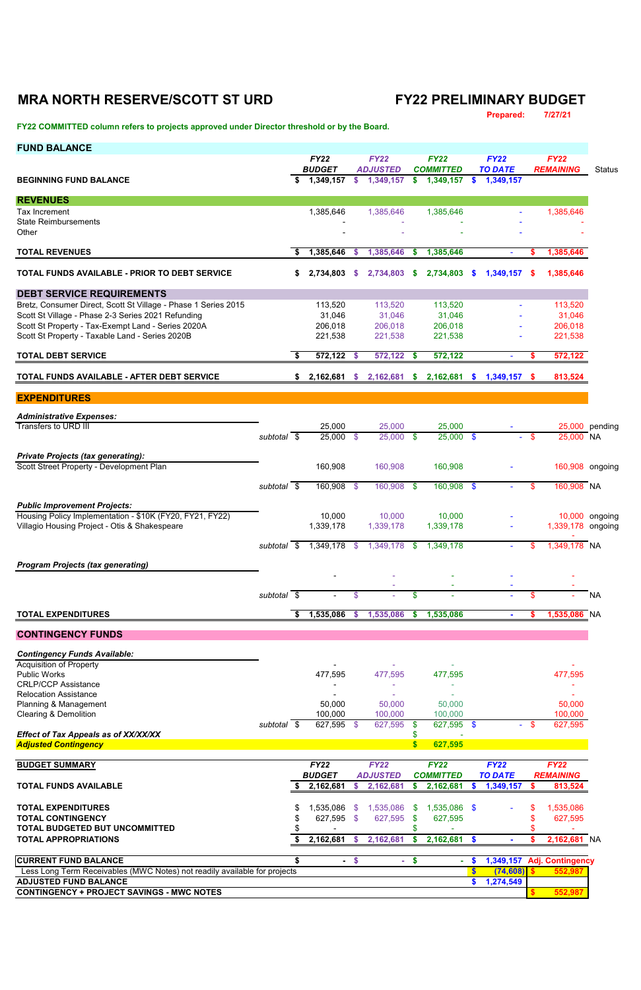## **MRA NORTH RESERVE/SCOTT ST URD FY22 PRELIMINARY BUDGET**

**Prepared: 7/27/21**

**FY22 COMMITTED column refers to projects approved under Director threshold or by the Board.** 

| <b>FUND BALANCE</b>                                                                                       |                          |    |                              |               |                                |                        |                                 |                         |                               |        |                                 |                |
|-----------------------------------------------------------------------------------------------------------|--------------------------|----|------------------------------|---------------|--------------------------------|------------------------|---------------------------------|-------------------------|-------------------------------|--------|---------------------------------|----------------|
|                                                                                                           |                          |    | <b>FY22</b><br><b>BUDGET</b> |               | <b>FY22</b><br><b>ADJUSTED</b> |                        | <b>FY22</b><br><b>COMMITTED</b> |                         | <b>FY22</b><br><b>TO DATE</b> |        | <b>FY22</b><br><b>REMAINING</b> | <b>Status</b>  |
| <b>BEGINNING FUND BALANCE</b>                                                                             |                          | \$ | 1,349,157                    |               | \$ 1,349,157                   | \$                     | 1,349,157                       | S.                      | 1,349,157                     |        |                                 |                |
| <b>REVENUES</b>                                                                                           |                          |    |                              |               |                                |                        |                                 |                         |                               |        |                                 |                |
| <b>Tax Increment</b>                                                                                      |                          |    | 1,385,646                    |               | 1,385,646                      |                        | 1,385,646                       |                         |                               |        | 1,385,646                       |                |
| <b>State Reimbursements</b><br>Other                                                                      |                          |    |                              |               |                                |                        |                                 |                         |                               |        |                                 |                |
| <b>TOTAL REVENUES</b>                                                                                     |                          | s. | 1,385,646                    | <b>S</b>      | 1,385,646                      | - \$                   | 1,385,646                       |                         |                               | S      | 1,385,646                       |                |
| <b>TOTAL FUNDS AVAILABLE - PRIOR TO DEBT SERVICE</b>                                                      |                          | S. | 2,734,803                    | \$.           | 2,734,803                      | - \$                   | 2,734,803                       | <b>S</b>                | 1,349,157                     | -5     | 1,385,646                       |                |
| <b>DEBT SERVICE REQUIREMENTS</b>                                                                          |                          |    |                              |               |                                |                        |                                 |                         |                               |        |                                 |                |
| Bretz, Consumer Direct, Scott St Village - Phase 1 Series 2015                                            |                          |    | 113,520                      |               | 113,520                        |                        | 113,520                         |                         |                               |        | 113,520                         |                |
| Scott St Village - Phase 2-3 Series 2021 Refunding                                                        |                          |    | 31,046                       |               | 31,046                         |                        | 31,046                          |                         |                               |        | 31,046                          |                |
| Scott St Property - Tax-Exempt Land - Series 2020A<br>Scott St Property - Taxable Land - Series 2020B     |                          |    | 206,018<br>221,538           |               | 206,018<br>221,538             |                        | 206,018<br>221,538              |                         |                               |        | 206,018<br>221,538              |                |
| <b>TOTAL DEBT SERVICE</b>                                                                                 |                          | \$ | 572,122                      | <b>S</b>      | $572,122$ \$                   |                        | 572,122                         |                         | $\mathbf{r}$                  | S.     | 572,122                         |                |
| TOTAL FUNDS AVAILABLE - AFTER DEBT SERVICE                                                                |                          |    | 2,162,681                    | \$.           | 2,162,681                      | - 5                    | 2,162,681 \$                    |                         | $1,349,157$ \$                |        | 813,524                         |                |
| <b>EXPENDITURES</b>                                                                                       |                          |    |                              |               |                                |                        |                                 |                         |                               |        |                                 |                |
|                                                                                                           |                          |    |                              |               |                                |                        |                                 |                         |                               |        |                                 |                |
| <b>Administrative Expenses:</b><br>Transfers to URD III                                                   |                          |    | 25,000                       |               | 25,000                         |                        | 25,000                          |                         |                               |        |                                 | 25,000 pending |
|                                                                                                           | subtotal $\overline{\$}$ |    | 25,000 \$                    |               | $25,000$ \$                    |                        | $25,000$ \$                     |                         |                               | $-$ \$ | 25,000 NA                       |                |
| <b>Private Projects (tax generating):</b><br>Scott Street Property - Development Plan                     |                          |    | 160,908                      |               | 160,908                        |                        | 160,908                         |                         |                               |        | 160,908 ongoing                 |                |
|                                                                                                           |                          |    |                              |               |                                |                        |                                 |                         |                               |        |                                 |                |
|                                                                                                           | subtotal $\sqrt{s}$      |    | 160,908                      | -\$           | 160,908 \$                     |                        | $160,908$ \$                    |                         |                               | \$     | 160,908 NA                      |                |
| <b>Public Improvement Projects:</b>                                                                       |                          |    |                              |               |                                |                        |                                 |                         |                               |        |                                 |                |
| Housing Policy Implementation - \$10K (FY20, FY21, FY22)<br>Villagio Housing Project - Otis & Shakespeare |                          |    | 10,000<br>1,339,178          |               | 10,000<br>1,339,178            |                        | 10,000<br>1,339,178             |                         |                               |        | 1,339,178 ongoing               | 10,000 ongoing |
|                                                                                                           |                          |    |                              |               |                                |                        |                                 |                         |                               |        |                                 |                |
|                                                                                                           | subtotal \$              |    | 1,349,178                    | $\mathcal{S}$ | 1,349,178                      | -\$                    | 1,349,178                       |                         |                               | \$     | 1,349,178 NA                    |                |
| <b>Program Projects (tax generating)</b>                                                                  |                          |    |                              |               |                                |                        |                                 |                         |                               |        |                                 |                |
|                                                                                                           |                          |    |                              |               |                                |                        |                                 |                         |                               |        |                                 |                |
|                                                                                                           | subtotal $\overline{\$}$ |    |                              | \$            |                                | \$                     |                                 |                         |                               | \$     |                                 | <b>NA</b>      |
| <b>TOTAL EXPENDITURES</b>                                                                                 |                          |    | 1,535,086                    | <b>S</b>      | 1,535,086                      | \$                     | 1,535,086                       |                         |                               | S      | 1,535,086 NA                    |                |
| <b>CONTINGENCY FUNDS</b>                                                                                  |                          |    |                              |               |                                |                        |                                 |                         |                               |        |                                 |                |
| <b>Contingency Funds Available:</b>                                                                       |                          |    |                              |               |                                |                        |                                 |                         |                               |        |                                 |                |
| <b>Acquisition of Property</b>                                                                            |                          |    |                              |               |                                |                        |                                 |                         |                               |        |                                 |                |
| <b>Public Works</b><br><b>CRLP/CCP Assistance</b>                                                         |                          |    | 477,595                      |               | 477,595                        |                        | 477,595                         |                         |                               |        | 477,595                         |                |
| <b>Relocation Assistance</b>                                                                              |                          |    |                              |               |                                |                        |                                 |                         |                               |        |                                 |                |
| Planning & Management                                                                                     |                          |    | 50,000                       |               | 50,000                         |                        | 50,000                          |                         |                               |        | 50,000                          |                |
| <b>Clearing &amp; Demolition</b>                                                                          | $subtotal$ \$            |    | 100,000<br>627,595           | -\$           | 100,000<br>627,595             | -\$                    | 100,000<br>627,595 \$           |                         |                               | $-$ \$ | 100,000<br>627,595              |                |
| Effect of Tax Appeals as of XX/XX/XX<br><b>Adjusted Contingency</b>                                       |                          |    |                              |               |                                | \$<br>$\boldsymbol{s}$ | 627,595                         |                         |                               |        |                                 |                |
| <b>BUDGET SUMMARY</b>                                                                                     |                          |    | <b>FY22</b>                  |               | <b>FY22</b>                    |                        | <b>FY22</b>                     |                         | <b>FY22</b>                   |        | <b>FY22</b>                     |                |
|                                                                                                           |                          |    | <b>BUDGET</b>                |               | <b>ADJUSTED</b>                |                        | <b>COMMITTED</b>                |                         | <b>TO DATE</b>                |        | <b>REMAINING</b>                |                |
| <b>TOTAL FUNDS AVAILABLE</b>                                                                              |                          | S  | 2,162,681                    | \$.           | 2,162,681                      | \$                     | 2,162,681                       | S                       | 1,349,157                     | \$.    | 813,524                         |                |
| <b>TOTAL EXPENDITURES</b>                                                                                 |                          | \$ | 1,535,086                    | $\mathcal{S}$ | 1,535,086                      | \$                     | 1,535,086 \$                    |                         |                               |        | 1,535,086                       |                |
| <b>TOTAL CONTINGENCY</b>                                                                                  |                          | \$ | 627,595                      | -\$           | 627,595                        | \$                     | 627,595                         |                         |                               |        | 627,595                         |                |
| <b>TOTAL BUDGETED BUT UNCOMMITTED</b><br><b>TOTAL APPROPRIATIONS</b>                                      |                          | S. | 2,162,681                    | <b>S</b>      | 2,162,681                      | \$<br>\$               | 2,162,681 \$                    |                         |                               | \$.    | 2,162,681 NA                    |                |
|                                                                                                           |                          |    |                              |               |                                |                        |                                 |                         |                               |        |                                 |                |
| <b>CURRENT FUND BALANCE</b>                                                                               |                          | \$ | н.                           | $\frac{1}{2}$ | $\sim$                         | \$                     | $\blacksquare$                  | $\sqrt[6]{\frac{1}{2}}$ |                               |        | 1,349,157 Adj. Contingency      |                |
| Less Long Term Receivables (MWC Notes) not readily available for projects<br><b>ADJUSTED FUND BALANCE</b> |                          |    |                              |               |                                |                        |                                 | \$<br>\$                | (74, 608)<br>1,274,549        |        | 552,987                         |                |
| <b>CONTINGENCY + PROJECT SAVINGS - MWC NOTES</b>                                                          |                          |    |                              |               |                                |                        |                                 |                         |                               |        | 552,987                         |                |